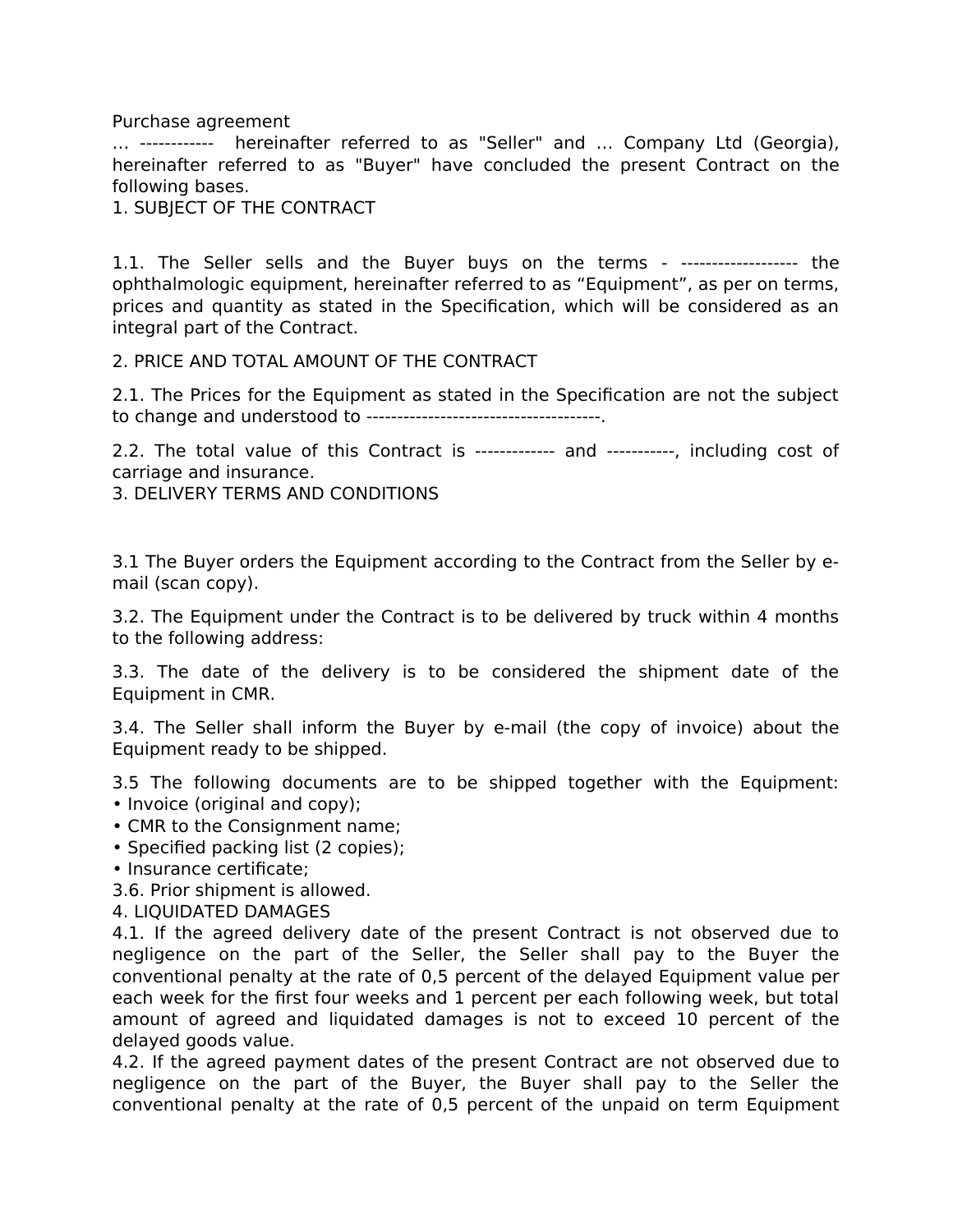Purchase agreement

… ------------ hereinafter referred to as "Seller" and … Company Ltd (Georgia), hereinafter referred to as "Buyer" have concluded the present Contract on the following bases.

1. SUBJECT OF THE CONTRACT

1.1. The Seller sells and the Buyer buys on the terms - ------------------- the ophthalmologic equipment, hereinafter referred to as "Equipment", as per on terms, prices and quantity as stated in the Specification, which will be considered as an integral part of the Contract.

2. PRICE AND TOTAL AMOUNT OF THE CONTRACT

2.1. The Prices for the Equipment as stated in the Specification are not the subject to change and understood to --------------------------------------.

2.2. The total value of this Contract is ------------- and -----------, including cost of carriage and insurance.

3. DELIVERY TERMS AND CONDITIONS

3.1 The Buyer orders the Equipment according to the Contract from the Seller by email (scan copy).

3.2. The Equipment under the Contract is to be delivered by truck within 4 months to the following address:

3.3. The date of the delivery is to be considered the shipment date of the Equipment in CMR.

3.4. The Seller shall inform the Buyer by e-mail (the copy of invoice) about the Equipment ready to be shipped.

3.5 The following documents are to be shipped together with the Equipment:

- Invoice (original and copy);
- CMR to the Consignment name;
- Specified packing list (2 copies);
- Insurance certificate;
- 3.6. Prior shipment is allowed.
- 4. LIQUIDATED DAMAGES

4.1. If the agreed delivery date of the present Contract is not observed due to negligence on the part of the Seller, the Seller shall pay to the Buyer the conventional penalty at the rate of 0,5 percent of the delayed Equipment value per each week for the first four weeks and 1 percent per each following week, but total amount of agreed and liquidated damages is not to exceed 10 percent of the delayed goods value.

4.2. If the agreed payment dates of the present Contract are not observed due to negligence on the part of the Buyer, the Buyer shall pay to the Seller the conventional penalty at the rate of 0,5 percent of the unpaid on term Equipment